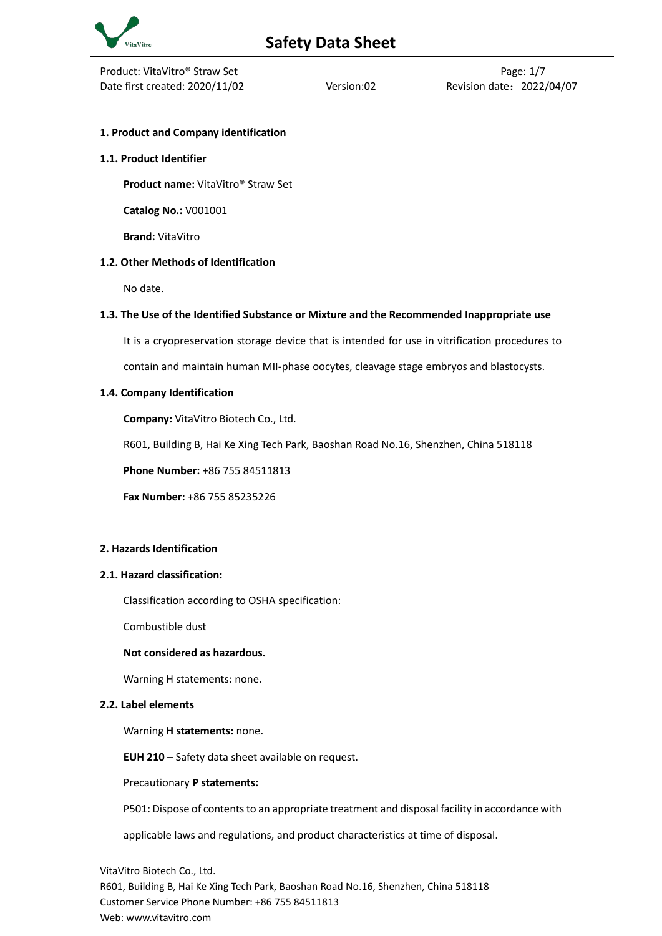

## **1. Product and Company identification**

### **1.1. Product Identifier**

**Product name:** VitaVitro® Straw Set

**Catalog No.:** V001001

**Brand:** VitaVitro

## **1.2. Other Methods of Identification**

No date.

## **1.3. The Use of the Identified Substance or Mixture and the Recommended Inappropriate use**

It is a cryopreservation storage device that is intended for use in vitrification procedures to

contain and maintain human MII-phase oocytes, cleavage stage embryos and blastocysts.

## **1.4. Company Identification**

**Company:** VitaVitro Biotech Co., Ltd.

R601, Building B, Hai Ke Xing Tech Park, Baoshan Road No.16, Shenzhen, China 518118

**Phone Number:** +86 755 84511813

**Fax Number:** +86 755 85235226

## **2. Hazards Identification**

## **2.1. Hazard classification:**

Classification according to OSHA specification:

Combustible dust

### **Not considered as hazardous.**

Warning H statements: none.

### **2.2. Label elements**

Warning **H statements:** none.

**EUH 210** – Safety data sheet available on request.

Precautionary **P statements:**

P501: Dispose of contents to an appropriate treatment and disposal facility in accordance with

applicable laws and regulations, and product characteristics at time of disposal.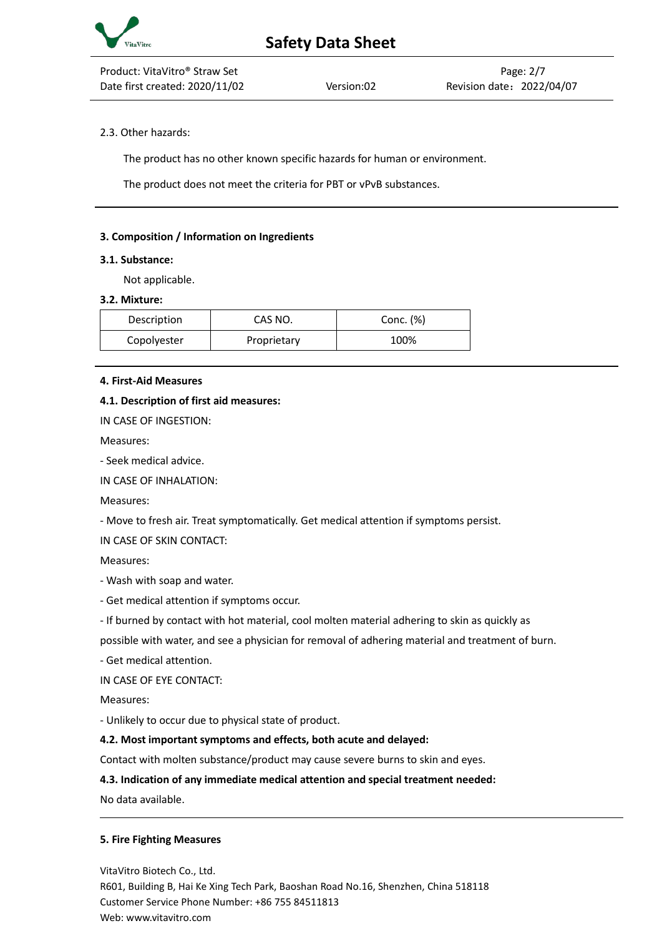

## 2.3. Other hazards:

The product has no other known specific hazards for human or environment.

The product does not meet the criteria for PBT or vPvB substances.

### **3. Composition / Information on Ingredients**

#### **3.1. Substance:**

Not applicable.

#### **3.2. Mixture:**

| Description | CAS NO.     | Conc. (%) |
|-------------|-------------|-----------|
| Copolyester | Proprietary | 100%      |

### **4. First-Aid Measures**

### **4.1. Description of first aid measures:**

IN CASE OF INGESTION:

Measures:

- Seek medical advice.

IN CASE OF INHALATION:

Measures:

- Move to fresh air. Treat symptomatically. Get medical attention if symptoms persist.

IN CASE OF SKIN CONTACT:

Measures:

- Wash with soap and water.

- Get medical attention if symptoms occur.

- If burned by contact with hot material, cool molten material adhering to skin as quickly as

possible with water, and see a physician for removal of adhering material and treatment of burn.

- Get medical attention.

IN CASE OF EYE CONTACT:

Measures:

- Unlikely to occur due to physical state of product.

### **4.2. Most important symptoms and effects, both acute and delayed:**

Contact with molten substance/product may cause severe burns to skin and eyes.

## **4.3. Indication of any immediate medical attention and special treatment needed:**

No data available.

### **5. Fire Fighting Measures**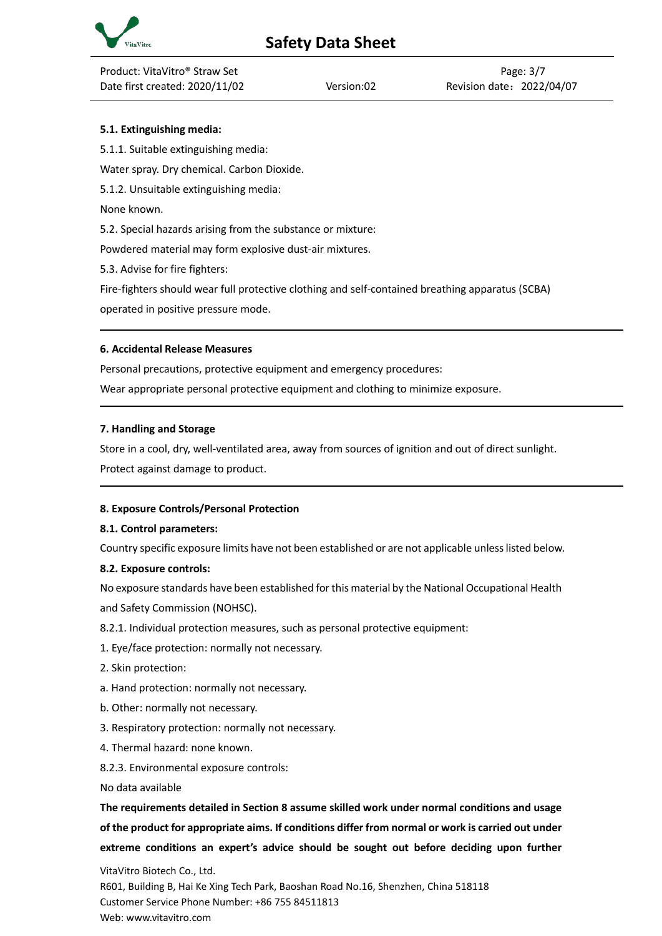

# **5.1. Extinguishing media:**

5.1.1. Suitable extinguishing media:

Water spray. Dry chemical. Carbon Dioxide.

5.1.2. Unsuitable extinguishing media:

None known.

5.2. Special hazards arising from the substance or mixture:

Powdered material may form explosive dust-air mixtures.

5.3. Advise for fire fighters:

Fire-fighters should wear full protective clothing and self-contained breathing apparatus (SCBA) operated in positive pressure mode.

## **6. Accidental Release Measures**

Personal precautions, protective equipment and emergency procedures:

Wear appropriate personal protective equipment and clothing to minimize exposure.

## **7. Handling and Storage**

Store in a cool, dry, well-ventilated area, away from sources of ignition and out of direct sunlight. Protect against damage to product.

## **8. Exposure Controls/Personal Protection**

## **8.1. Control parameters:**

Country specific exposure limits have not been established or are not applicable unless listed below.

## **8.2. Exposure controls:**

No exposure standards have been established for this material by the National Occupational Health and Safety Commission (NOHSC).

- 8.2.1. Individual protection measures, such as personal protective equipment:
- 1. Eye/face protection: normally not necessary.
- 2. Skin protection:
- a. Hand protection: normally not necessary.
- b. Other: normally not necessary.
- 3. Respiratory protection: normally not necessary.
- 4. Thermal hazard: none known.
- 8.2.3. Environmental exposure controls:

No data available

**The requirements detailed in Section 8 assume skilled work under normal conditions and usage of the product for appropriate aims. If conditions differ from normal or work is carried out under extreme conditions an expert's advice should be sought out before deciding upon further**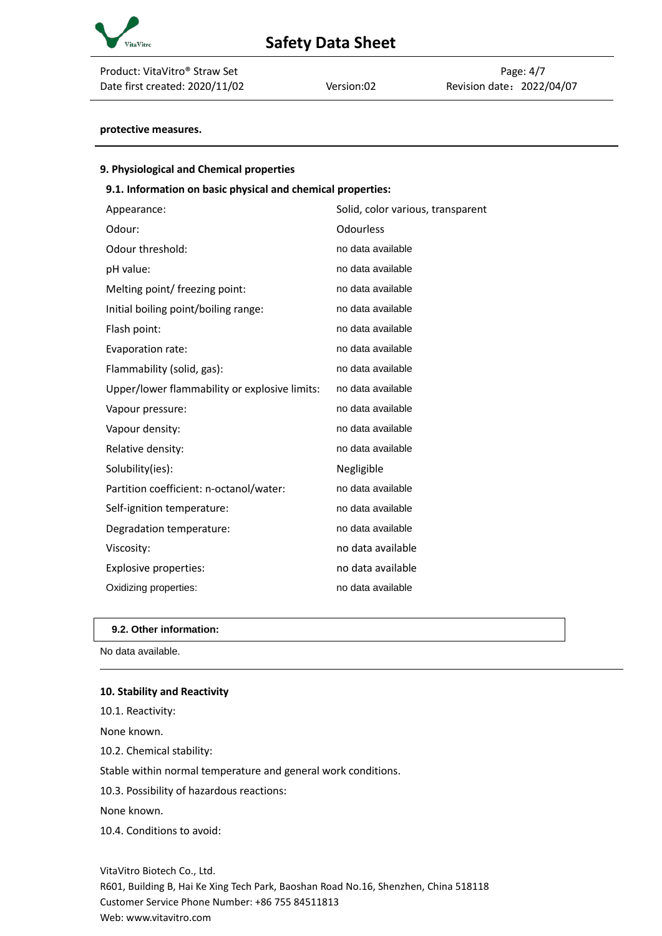

| Product: VitaVitro® Straw Set  |            |                      | Page: 4/7 |
|--------------------------------|------------|----------------------|-----------|
| Date first created: 2020/11/02 | Version:02 | Revision date: 2022/ |           |

Version:02 Revision date: 2022/04/07

## **protective measures.**

| 9. Physiological and Chemical properties                    |                                   |
|-------------------------------------------------------------|-----------------------------------|
| 9.1. Information on basic physical and chemical properties: |                                   |
| Appearance:                                                 | Solid, color various, transparent |
| Odour:                                                      | <b>Odourless</b>                  |
| Odour threshold:                                            | no data available                 |
| pH value:                                                   | no data available                 |
| Melting point/ freezing point:                              | no data available                 |
| Initial boiling point/boiling range:                        | no data available                 |
| Flash point:                                                | no data available                 |
| Evaporation rate:                                           | no data available                 |
| Flammability (solid, gas):                                  | no data available                 |
| Upper/lower flammability or explosive limits:               | no data available                 |
| Vapour pressure:                                            | no data available                 |
| Vapour density:                                             | no data available                 |
| Relative density:                                           | no data available                 |
| Solubility(ies):                                            | Negligible                        |
| Partition coefficient: n-octanol/water:                     | no data available                 |
| Self-ignition temperature:                                  | no data available                 |
| Degradation temperature:                                    | no data available                 |
| Viscosity:                                                  | no data available                 |
| Explosive properties:                                       | no data available                 |
| Oxidizing properties:                                       | no data available                 |

conditions.

#### **9.2. Other information:**

No data available.

# **10. Stability and Reactivity**

| 10.1. Reactivity:                                 |
|---------------------------------------------------|
| None known.                                       |
| 10.2. Chemical stability:                         |
| Stable within normal temperature and general work |
| 10.3. Possibility of hazardous reactions:         |
| None known.                                       |
| 10.4. Conditions to avoid:                        |
|                                                   |
| VitaVitro Riotach Co., Itd.                       |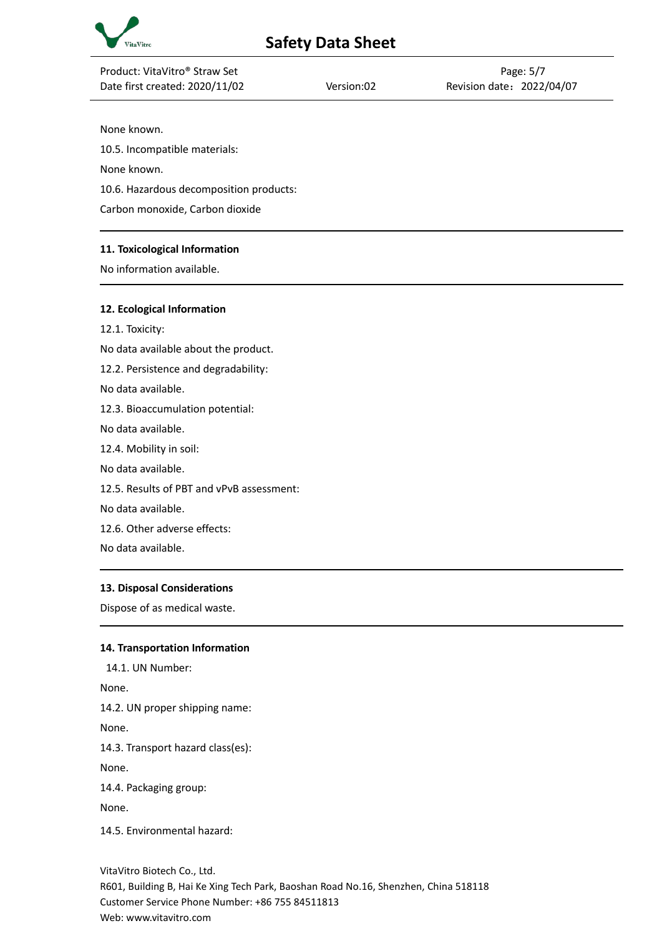

| Product: VitaVitro® Straw Set             |            | Page: 5/7                 |
|-------------------------------------------|------------|---------------------------|
| Date first created: 2020/11/02            | Version:02 | Revision date: 2022/04/07 |
|                                           |            |                           |
| None known.                               |            |                           |
| 10.5. Incompatible materials:             |            |                           |
| None known.                               |            |                           |
| 10.6. Hazardous decomposition products:   |            |                           |
| Carbon monoxide, Carbon dioxide           |            |                           |
| 11. Toxicological Information             |            |                           |
| No information available.                 |            |                           |
|                                           |            |                           |
| 12. Ecological Information                |            |                           |
| 12.1. Toxicity:                           |            |                           |
| No data available about the product.      |            |                           |
| 12.2. Persistence and degradability:      |            |                           |
| No data available.                        |            |                           |
| 12.3. Bioaccumulation potential:          |            |                           |
| No data available.                        |            |                           |
| 12.4. Mobility in soil:                   |            |                           |
| No data available.                        |            |                           |
| 12.5. Results of PBT and vPvB assessment: |            |                           |
| No data available.                        |            |                           |
| 12.6. Other adverse effects:              |            |                           |

No data available.

### **13. Disposal Considerations**

Dispose of as medical waste.

#### **14. Transportation Information**

14.1. UN Number: None. 14.2. UN proper shipping name: None. 14.3. Transport hazard class(es): None. 14.4. Packaging group: None. 14.5. Environmental hazard: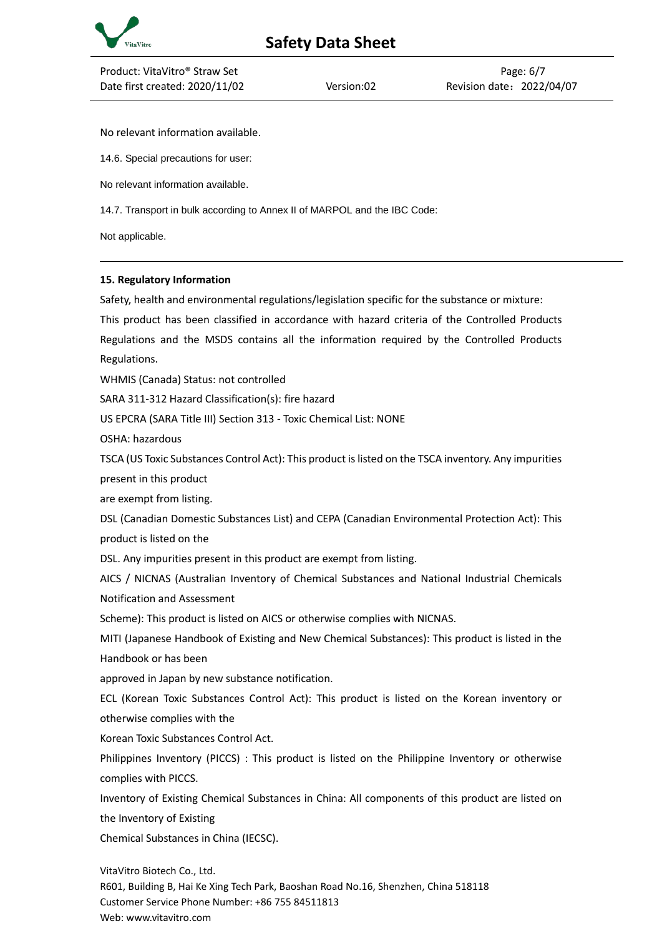

No relevant information available.

14.6. Special precautions for user:

No relevant information available.

14.7. Transport in bulk according to Annex II of MARPOL and the IBC Code:

Not applicable.

## **15. Regulatory Information**

Safety, health and environmental regulations/legislation specific for the substance or mixture:

This product has been classified in accordance with hazard criteria of the Controlled Products Regulations and the MSDS contains all the information required by the Controlled Products Regulations.

WHMIS (Canada) Status: not controlled

SARA 311-312 Hazard Classification(s): fire hazard

US EPCRA (SARA Title III) Section 313 - Toxic Chemical List: NONE

OSHA: hazardous

TSCA (US Toxic Substances Control Act): This product is listed on the TSCA inventory. Any impurities present in this product

are exempt from listing.

DSL (Canadian Domestic Substances List) and CEPA (Canadian Environmental Protection Act): This product is listed on the

DSL. Any impurities present in this product are exempt from listing.

AICS / NICNAS (Australian Inventory of Chemical Substances and National Industrial Chemicals Notification and Assessment

Scheme): This product is listed on AICS or otherwise complies with NICNAS.

MITI (Japanese Handbook of Existing and New Chemical Substances): This product is listed in the Handbook or has been

approved in Japan by new substance notification.

ECL (Korean Toxic Substances Control Act): This product is listed on the Korean inventory or otherwise complies with the

Korean Toxic Substances Control Act.

Philippines Inventory (PICCS) : This product is listed on the Philippine Inventory or otherwise complies with PICCS.

Inventory of Existing Chemical Substances in China: All components of this product are listed on the Inventory of Existing

Chemical Substances in China (IECSC).